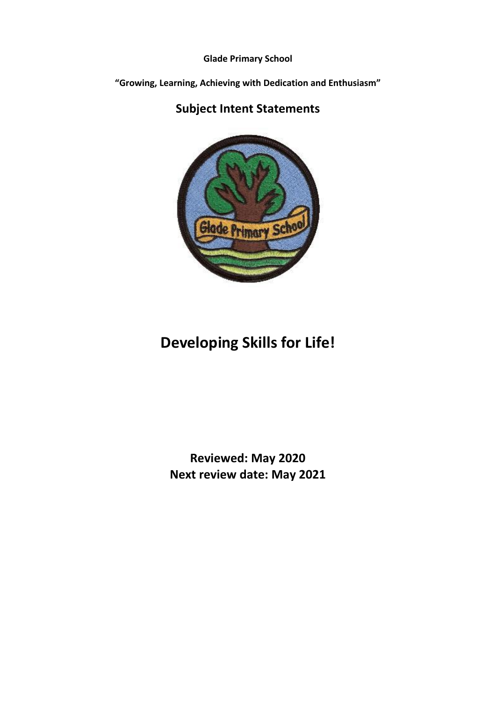**Glade Primary School**

**"Growing, Learning, Achieving with Dedication and Enthusiasm"**

# **Subject Intent Statements**



# **Developing Skills for Life!**

# **Reviewed: May 2020 Next review date: May 2021**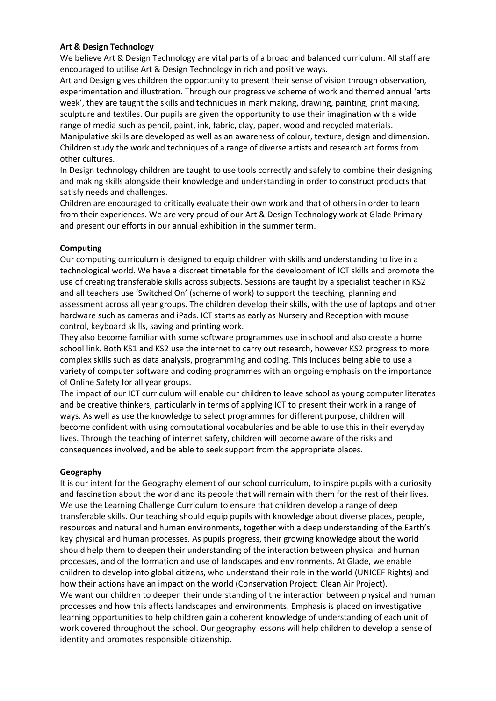# **Art & Design Technology**

We believe Art & Design Technology are vital parts of a broad and balanced curriculum. All staff are encouraged to utilise Art & Design Technology in rich and positive ways.

Art and Design gives children the opportunity to present their sense of vision through observation, experimentation and illustration. Through our progressive scheme of work and themed annual 'arts week', they are taught the skills and techniques in mark making, drawing, painting, print making, sculpture and textiles. Our pupils are given the opportunity to use their imagination with a wide range of media such as pencil, paint, ink, fabric, clay, paper, wood and recycled materials.

Manipulative skills are developed as well as an awareness of colour, texture, design and dimension. Children study the work and techniques of a range of diverse artists and research art forms from other cultures.

In Design technology children are taught to use tools correctly and safely to combine their designing and making skills alongside their knowledge and understanding in order to construct products that satisfy needs and challenges.

Children are encouraged to critically evaluate their own work and that of others in order to learn from their experiences. We are very proud of our Art & Design Technology work at Glade Primary and present our efforts in our annual exhibition in the summer term.

# **Computing**

Our computing curriculum is designed to equip children with skills and understanding to live in a technological world. We have a discreet timetable for the development of ICT skills and promote the use of creating transferable skills across subjects. Sessions are taught by a specialist teacher in KS2 and all teachers use 'Switched On' (scheme of work) to support the teaching, planning and assessment across all year groups. The children develop their skills, with the use of laptops and other hardware such as cameras and iPads. ICT starts as early as Nursery and Reception with mouse control, keyboard skills, saving and printing work.

They also become familiar with some software programmes use in school and also create a home school link. Both KS1 and KS2 use the internet to carry out research, however KS2 progress to more complex skills such as data analysis, programming and coding. This includes being able to use a variety of computer software and coding programmes with an ongoing emphasis on the importance of Online Safety for all year groups.

The impact of our ICT curriculum will enable our children to leave school as young computer literates and be creative thinkers, particularly in terms of applying ICT to present their work in a range of ways. As well as use the knowledge to select programmes for different purpose, children will become confident with using computational vocabularies and be able to use this in their everyday lives. Through the teaching of internet safety, children will become aware of the risks and consequences involved, and be able to seek support from the appropriate places.

# **Geography**

It is our intent for the Geography element of our school curriculum, to inspire pupils with a curiosity and fascination about the world and its people that will remain with them for the rest of their lives. We use the Learning Challenge Curriculum to ensure that children develop a range of deep transferable skills. Our teaching should equip pupils with knowledge about diverse places, people, resources and natural and human environments, together with a deep understanding of the Earth's key physical and human processes. As pupils progress, their growing knowledge about the world should help them to deepen their understanding of the interaction between physical and human processes, and of the formation and use of landscapes and environments. At Glade, we enable children to develop into global citizens, who understand their role in the world (UNICEF Rights) and how their actions have an impact on the world (Conservation Project: Clean Air Project). We want our children to deepen their understanding of the interaction between physical and human processes and how this affects landscapes and environments. Emphasis is placed on investigative learning opportunities to help children gain a coherent knowledge of understanding of each unit of work covered throughout the school. Our geography lessons will help children to develop a sense of identity and promotes responsible citizenship.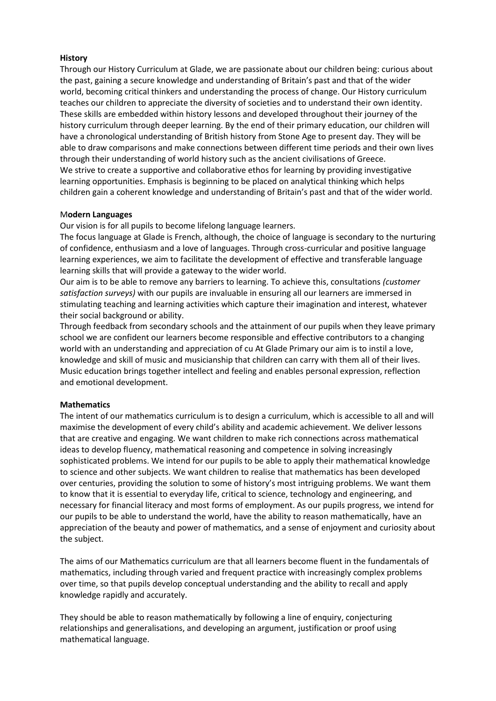# **History**

Through our History Curriculum at Glade, we are passionate about our children being: curious about the past, gaining a secure knowledge and understanding of Britain's past and that of the wider world, becoming critical thinkers and understanding the process of change. Our History curriculum teaches our children to appreciate the diversity of societies and to understand their own identity. These skills are embedded within history lessons and developed throughout their journey of the history curriculum through deeper learning. By the end of their primary education, our children will have a chronological understanding of British history from Stone Age to present day. They will be able to draw comparisons and make connections between different time periods and their own lives through their understanding of world history such as the ancient civilisations of Greece. We strive to create a supportive and collaborative ethos for learning by providing investigative learning opportunities. Emphasis is beginning to be placed on analytical thinking which helps children gain a coherent knowledge and understanding of Britain's past and that of the wider world.

# M**odern Languages**

Our vision is for all pupils to become lifelong language learners.

The focus language at Glade is French, although, the choice of language is secondary to the nurturing of confidence, enthusiasm and a love of languages. Through cross-curricular and positive language learning experiences, we aim to facilitate the development of effective and transferable language learning skills that will provide a gateway to the wider world.

Our aim is to be able to remove any barriers to learning. To achieve this, consultations *(customer satisfaction surveys)* with our pupils are invaluable in ensuring all our learners are immersed in stimulating teaching and learning activities which capture their imagination and interest, whatever their social background or ability.

Through feedback from secondary schools and the attainment of our pupils when they leave primary school we are confident our learners become responsible and effective contributors to a changing world with an understanding and appreciation of cu At Glade Primary our aim is to instil a love, knowledge and skill of music and musicianship that children can carry with them all of their lives. Music education brings together intellect and feeling and enables personal expression, reflection and emotional development.

# **Mathematics**

The intent of our mathematics curriculum is to design a curriculum, which is accessible to all and will maximise the development of every child's ability and academic achievement. We deliver lessons that are creative and engaging. We want children to make rich connections across mathematical ideas to develop fluency, mathematical reasoning and competence in solving increasingly sophisticated problems. We intend for our pupils to be able to apply their mathematical knowledge to science and other subjects. We want children to realise that mathematics has been developed over centuries, providing the solution to some of history's most intriguing problems. We want them to know that it is essential to everyday life, critical to science, technology and engineering, and necessary for financial literacy and most forms of employment. As our pupils progress, we intend for our pupils to be able to understand the world, have the ability to reason mathematically, have an appreciation of the beauty and power of mathematics, and a sense of enjoyment and curiosity about the subject.

The aims of our Mathematics curriculum are that all learners become fluent in the fundamentals of mathematics, including through varied and frequent practice with increasingly complex problems over time, so that pupils develop conceptual understanding and the ability to recall and apply knowledge rapidly and accurately.

They should be able to reason mathematically by following a line of enquiry, conjecturing relationships and generalisations, and developing an argument, justification or proof using mathematical language.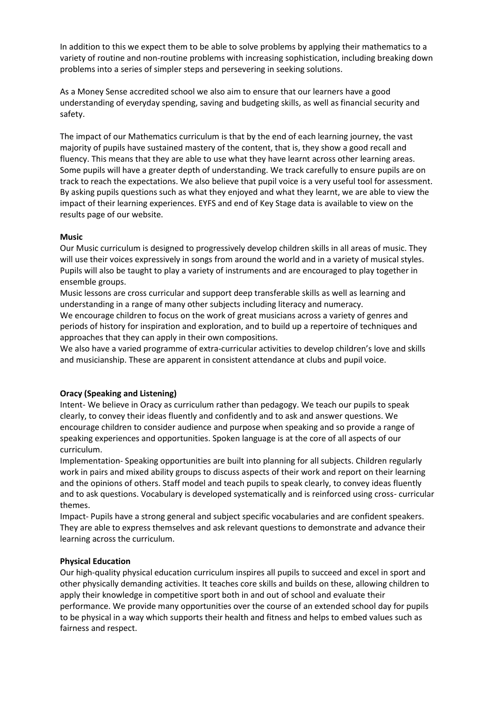In addition to this we expect them to be able to solve problems by applying their mathematics to a variety of routine and non-routine problems with increasing sophistication, including breaking down problems into a series of simpler steps and persevering in seeking solutions.

As a Money Sense accredited school we also aim to ensure that our learners have a good understanding of everyday spending, saving and budgeting skills, as well as financial security and safety.

The impact of our Mathematics curriculum is that by the end of each learning journey, the vast majority of pupils have sustained mastery of the content, that is, they show a good recall and fluency. This means that they are able to use what they have learnt across other learning areas. Some pupils will have a greater depth of understanding. We track carefully to ensure pupils are on track to reach the expectations. We also believe that pupil voice is a very useful tool for assessment. By asking pupils questions such as what they enjoyed and what they learnt, we are able to view the impact of their learning experiences. EYFS and end of Key Stage data is available to view on the results page of our website.

#### **Music**

Our Music curriculum is designed to progressively develop children skills in all areas of music. They will use their voices expressively in songs from around the world and in a variety of musical styles. Pupils will also be taught to play a variety of instruments and are encouraged to play together in ensemble groups.

Music lessons are cross curricular and support deep transferable skills as well as learning and understanding in a range of many other subjects including literacy and numeracy.

We encourage children to focus on the work of great musicians across a variety of genres and periods of history for inspiration and exploration, and to build up a repertoire of techniques and approaches that they can apply in their own compositions.

We also have a varied programme of extra-curricular activities to develop children's love and skills and musicianship. These are apparent in consistent attendance at clubs and pupil voice.

# **Oracy (Speaking and Listening)**

Intent- We believe in Oracy as curriculum rather than pedagogy. We teach our pupils to speak clearly, to convey their ideas fluently and confidently and to ask and answer questions. We encourage children to consider audience and purpose when speaking and so provide a range of speaking experiences and opportunities. Spoken language is at the core of all aspects of our curriculum.

Implementation- Speaking opportunities are built into planning for all subjects. Children regularly work in pairs and mixed ability groups to discuss aspects of their work and report on their learning and the opinions of others. Staff model and teach pupils to speak clearly, to convey ideas fluently and to ask questions. Vocabulary is developed systematically and is reinforced using cross- curricular themes.

Impact- Pupils have a strong general and subject specific vocabularies and are confident speakers. They are able to express themselves and ask relevant questions to demonstrate and advance their learning across the curriculum.

# **Physical Education**

Our high-quality physical education curriculum inspires all pupils to succeed and excel in sport and other physically demanding activities. It teaches core skills and builds on these, allowing children to apply their knowledge in competitive sport both in and out of school and evaluate their performance. We provide many opportunities over the course of an extended school day for pupils to be physical in a way which supports their health and fitness and helps to embed values such as fairness and respect.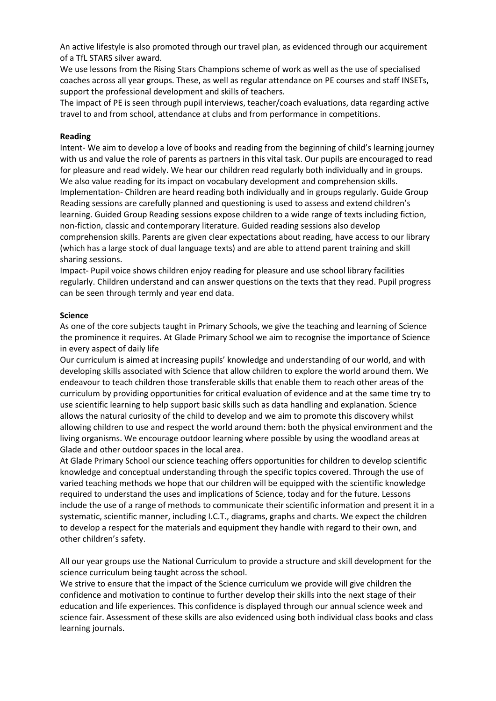An active lifestyle is also promoted through our travel plan, as evidenced through our acquirement of a TfL STARS silver award.

We use lessons from the Rising Stars Champions scheme of work as well as the use of specialised coaches across all year groups. These, as well as regular attendance on PE courses and staff INSETs, support the professional development and skills of teachers.

The impact of PE is seen through pupil interviews, teacher/coach evaluations, data regarding active travel to and from school, attendance at clubs and from performance in competitions.

#### **Reading**

Intent- We aim to develop a love of books and reading from the beginning of child's learning journey with us and value the role of parents as partners in this vital task. Our pupils are encouraged to read for pleasure and read widely. We hear our children read regularly both individually and in groups. We also value reading for its impact on vocabulary development and comprehension skills. Implementation- Children are heard reading both individually and in groups regularly. Guide Group Reading sessions are carefully planned and questioning is used to assess and extend children's learning. Guided Group Reading sessions expose children to a wide range of texts including fiction, non-fiction, classic and contemporary literature. Guided reading sessions also develop comprehension skills. Parents are given clear expectations about reading, have access to our library (which has a large stock of dual language texts) and are able to attend parent training and skill sharing sessions.

Impact- Pupil voice shows children enjoy reading for pleasure and use school library facilities regularly. Children understand and can answer questions on the texts that they read. Pupil progress can be seen through termly and year end data.

#### **Science**

As one of the core subjects taught in Primary Schools, we give the teaching and learning of Science the prominence it requires. At Glade Primary School we aim to recognise the importance of Science in every aspect of daily life

Our curriculum is aimed at increasing pupils' knowledge and understanding of our world, and with developing skills associated with Science that allow children to explore the world around them. We endeavour to teach children those transferable skills that enable them to reach other areas of the curriculum by providing opportunities for critical evaluation of evidence and at the same time try to use scientific learning to help support basic skills such as data handling and explanation. Science allows the natural curiosity of the child to develop and we aim to promote this discovery whilst allowing children to use and respect the world around them: both the physical environment and the living organisms. We encourage outdoor learning where possible by using the woodland areas at Glade and other outdoor spaces in the local area.

At Glade Primary School our science teaching offers opportunities for children to develop scientific knowledge and conceptual understanding through the specific topics covered. Through the use of varied teaching methods we hope that our children will be equipped with the scientific knowledge required to understand the uses and implications of Science, today and for the future. Lessons include the use of a range of methods to communicate their scientific information and present it in a systematic, scientific manner, including I.C.T., diagrams, graphs and charts. We expect the children to develop a respect for the materials and equipment they handle with regard to their own, and other children's safety.

All our year groups use the National Curriculum to provide a structure and skill development for the science curriculum being taught across the school.

We strive to ensure that the impact of the Science curriculum we provide will give children the confidence and motivation to continue to further develop their skills into the next stage of their education and life experiences. This confidence is displayed through our annual science week and science fair. Assessment of these skills are also evidenced using both individual class books and class learning journals.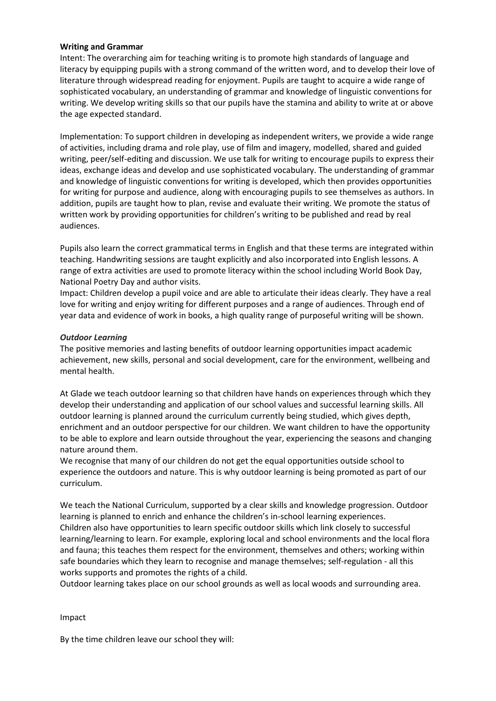#### **Writing and Grammar**

Intent: The overarching aim for teaching writing is to promote high standards of language and literacy by equipping pupils with a strong command of the written word, and to develop their love of literature through widespread reading for enjoyment. Pupils are taught to acquire a wide range of sophisticated vocabulary, an understanding of grammar and knowledge of linguistic conventions for writing. We develop writing skills so that our pupils have the stamina and ability to write at or above the age expected standard.

Implementation: To support children in developing as independent writers, we provide a wide range of activities, including drama and role play, use of film and imagery, modelled, shared and guided writing, peer/self-editing and discussion. We use talk for writing to encourage pupils to express their ideas, exchange ideas and develop and use sophisticated vocabulary. The understanding of grammar and knowledge of linguistic conventions for writing is developed, which then provides opportunities for writing for purpose and audience, along with encouraging pupils to see themselves as authors. In addition, pupils are taught how to plan, revise and evaluate their writing. We promote the status of written work by providing opportunities for children's writing to be published and read by real audiences.

Pupils also learn the correct grammatical terms in English and that these terms are integrated within teaching. Handwriting sessions are taught explicitly and also incorporated into English lessons. A range of extra activities are used to promote literacy within the school including World Book Day, National Poetry Day and author visits.

Impact: Children develop a pupil voice and are able to articulate their ideas clearly. They have a real love for writing and enjoy writing for different purposes and a range of audiences. Through end of year data and evidence of work in books, a high quality range of purposeful writing will be shown.

#### *Outdoor Learning*

The positive memories and lasting benefits of outdoor learning opportunities impact academic achievement, new skills, personal and social development, care for the environment, wellbeing and mental health.

At Glade we teach outdoor learning so that children have hands on experiences through which they develop their understanding and application of our school values and successful learning skills. All outdoor learning is planned around the curriculum currently being studied, which gives depth, enrichment and an outdoor perspective for our children. We want children to have the opportunity to be able to explore and learn outside throughout the year, experiencing the seasons and changing nature around them.

We recognise that many of our children do not get the equal opportunities outside school to experience the outdoors and nature. This is why outdoor learning is being promoted as part of our curriculum.

We teach the National Curriculum, supported by a clear skills and knowledge progression. Outdoor learning is planned to enrich and enhance the children's in-school learning experiences. Children also have opportunities to learn specific outdoor skills which link closely to successful learning/learning to learn. For example, exploring local and school environments and the local flora and fauna; this teaches them respect for the environment, themselves and others; working within safe boundaries which they learn to recognise and manage themselves; self-regulation - all this works supports and promotes the rights of a child.

Outdoor learning takes place on our school grounds as well as local woods and surrounding area.

#### Impact

By the time children leave our school they will: